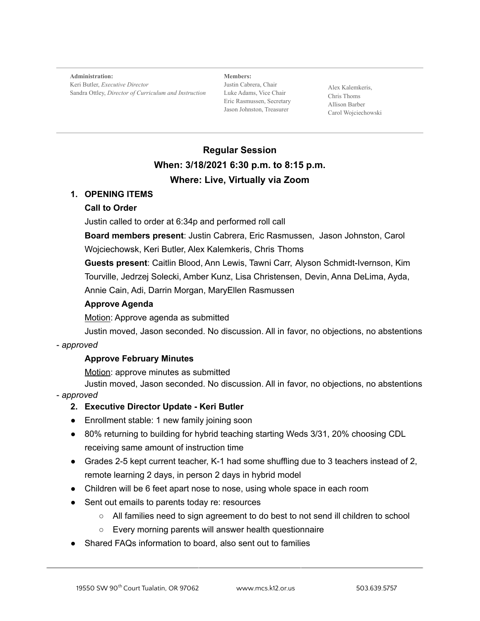**Administration:** Keri Butler, *Executive Director* Sandra Ottley, *Director of Curriculum and Instruction*

**Members:** Justin Cabrera, Chair Luke Adams, Vice Chair Eric Rasmussen, Secretary Jason Johnston, Treasurer

Alex Kalemkeris, Chris Thoms Allison Barber Carol Wojciechowski

# **Regular Session When: 3/18/2021 6:30 p.m. to 8:15 p.m. Where: Live, Virtually via Zoom**

## **1. OPENING ITEMS**

# **Call to Order**

Justin called to order at 6:34p and performed roll call

**Board members present**: Justin Cabrera, Eric Rasmussen, Jason Johnston, Carol Wojciechowsk, Keri Butler, Alex Kalemkeris, Chris Thoms

**Guests present**: Caitlin Blood, Ann Lewis, Tawni Carr, Alyson Schmidt-Ivernson, Kim Tourville, Jedrzej Solecki, Amber Kunz, Lisa Christensen, Devin, Anna DeLima, Ayda, Annie Cain, Adi, Darrin Morgan, MaryEllen Rasmussen

## **Approve Agenda**

Motion: Approve agenda as submitted

Justin moved, Jason seconded. No discussion. All in favor, no objections, no abstentions

#### - *approved*

# **Approve February Minutes**

Motion: approve minutes as submitted

Justin moved, Jason seconded. No discussion. All in favor, no objections, no abstentions - *approved*

# **2. Executive Director Update - Keri Butler**

- Enrollment stable: 1 new family joining soon
- 80% returning to building for hybrid teaching starting Weds 3/31, 20% choosing CDL receiving same amount of instruction time
- Grades 2-5 kept current teacher, K-1 had some shuffling due to 3 teachers instead of 2, remote learning 2 days, in person 2 days in hybrid model
- Children will be 6 feet apart nose to nose, using whole space in each room
- Sent out emails to parents today re: resources
	- All families need to sign agreement to do best to not send ill children to school
	- Every morning parents will answer health questionnaire
- Shared FAQs information to board, also sent out to families